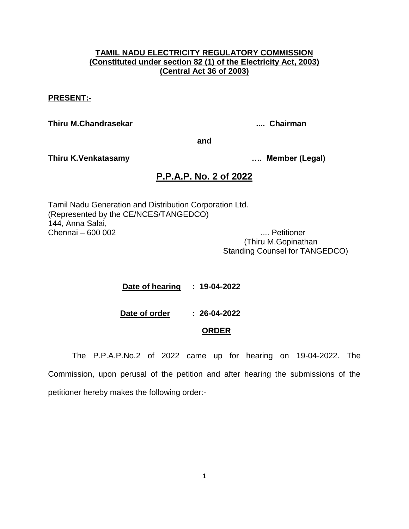### **TAMIL NADU ELECTRICITY REGULATORY COMMISSION (Constituted under section 82 (1) of the Electricity Act, 2003) (Central Act 36 of 2003)**

#### **PRESENT:-**

**Thiru M.Chandrasekar .... Chairman**

**and**

**Thiru K.Venkatasamy …. Member (Legal)**

# **P.P.A.P. No. 2 of 2022**

Tamil Nadu Generation and Distribution Corporation Ltd. (Represented by the CE/NCES/TANGEDCO) 144, Anna Salai, Chennai – 600 002 .... Petitioner

 (Thiru M.Gopinathan Standing Counsel for TANGEDCO)

 **Date of hearing : 19-04-2022**

**Date of order : 26-04-2022**

## **ORDER**

The P.P.A.P.No.2 of 2022 came up for hearing on 19-04-2022. The Commission, upon perusal of the petition and after hearing the submissions of the petitioner hereby makes the following order:-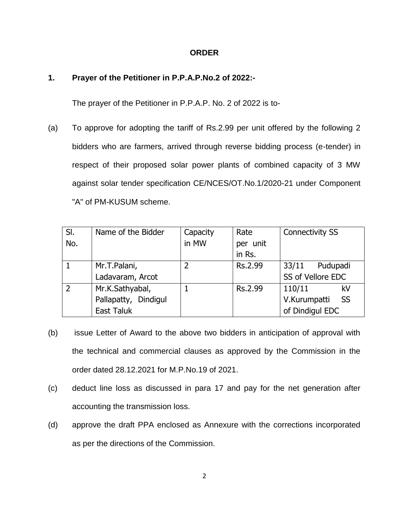#### **ORDER**

# **1. Prayer of the Petitioner in P.P.A.P.No.2 of 2022:-**

The prayer of the Petitioner in P.P.A.P. No. 2 of 2022 is to-

(a) To approve for adopting the tariff of Rs.2.99 per unit offered by the following 2 bidders who are farmers, arrived through reverse bidding process (e-tender) in respect of their proposed solar power plants of combined capacity of 3 MW against solar tender specification CE/NCES/OT.No.1/2020-21 under Component "A" of PM-KUSUM scheme.

| SI.            | Name of the Bidder   | Capacity | Rate     | <b>Connectivity SS</b> |
|----------------|----------------------|----------|----------|------------------------|
| No.            |                      | in MW    | per unit |                        |
|                |                      |          | in Rs.   |                        |
|                | Mr.T.Palani,         |          | Rs.2.99  | 33/11<br>Pudupadi      |
|                | Ladavaram, Arcot     |          |          | SS of Vellore EDC      |
| $\overline{2}$ | Mr.K.Sathyabal,      |          | Rs.2.99  | 110/11<br>kV           |
|                | Pallapatty, Dindigul |          |          | - SS<br>V.Kurumpatti   |
|                | East Taluk           |          |          | of Dindigul EDC        |

- (b) issue Letter of Award to the above two bidders in anticipation of approval with the technical and commercial clauses as approved by the Commission in the order dated 28.12.2021 for M.P.No.19 of 2021.
- (c) deduct line loss as discussed in para 17 and pay for the net generation after accounting the transmission loss.
- (d) approve the draft PPA enclosed as Annexure with the corrections incorporated as per the directions of the Commission.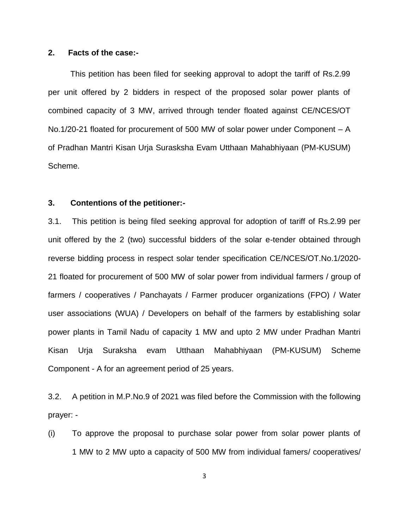#### **2. Facts of the case:-**

 This petition has been filed for seeking approval to adopt the tariff of Rs.2.99 per unit offered by 2 bidders in respect of the proposed solar power plants of combined capacity of 3 MW, arrived through tender floated against CE/NCES/OT No.1/20-21 floated for procurement of 500 MW of solar power under Component – A of Pradhan Mantri Kisan Urja Surasksha Evam Utthaan Mahabhiyaan (PM-KUSUM) Scheme.

### **3. Contentions of the petitioner:-**

3.1. This petition is being filed seeking approval for adoption of tariff of Rs.2.99 per unit offered by the 2 (two) successful bidders of the solar e-tender obtained through reverse bidding process in respect solar tender specification CE/NCES/OT.No.1/2020- 21 floated for procurement of 500 MW of solar power from individual farmers / group of farmers / cooperatives / Panchayats / Farmer producer organizations (FPO) / Water user associations (WUA) / Developers on behalf of the farmers by establishing solar power plants in Tamil Nadu of capacity 1 MW and upto 2 MW under Pradhan Mantri Kisan Urja Suraksha evam Utthaan Mahabhiyaan (PM-KUSUM) Scheme Component - A for an agreement period of 25 years.

3.2. A petition in M.P.No.9 of 2021 was filed before the Commission with the following prayer: -

(i) To approve the proposal to purchase solar power from solar power plants of 1 MW to 2 MW upto a capacity of 500 MW from individual famers/ cooperatives/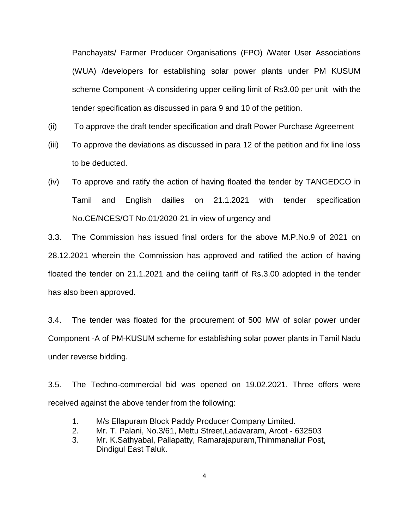Panchayats/ Farmer Producer Organisations (FPO) /Water User Associations (WUA) /developers for establishing solar power plants under PM KUSUM scheme Component -A considering upper ceiling limit of Rs3.00 per unit with the tender specification as discussed in para 9 and 10 of the petition.

- (ii) To approve the draft tender specification and draft Power Purchase Agreement
- (iii) To approve the deviations as discussed in para 12 of the petition and fix line loss to be deducted.
- (iv) To approve and ratify the action of having floated the tender by TANGEDCO in Tamil and English dailies on 21.1.2021 with tender specification No.CE/NCES/OT No.01/2020-21 in view of urgency and

3.3. The Commission has issued final orders for the above M.P.No.9 of 2021 on 28.12.2021 wherein the Commission has approved and ratified the action of having floated the tender on 21.1.2021 and the ceiling tariff of Rs.3.00 adopted in the tender has also been approved.

3.4. The tender was floated for the procurement of 500 MW of solar power under Component -A of PM-KUSUM scheme for establishing solar power plants in Tamil Nadu under reverse bidding.

3.5. The Techno-commercial bid was opened on 19.02.2021. Three offers were received against the above tender from the following:

- 1. M/s Ellapuram Block Paddy Producer Company Limited.
- 2. Mr. T. Palani, No.3/61, Mettu Street,Ladavaram, Arcot 632503
- 3. Mr. K.Sathyabal, Pallapatty, Ramarajapuram,Thimmanaliur Post, Dindigul East Taluk.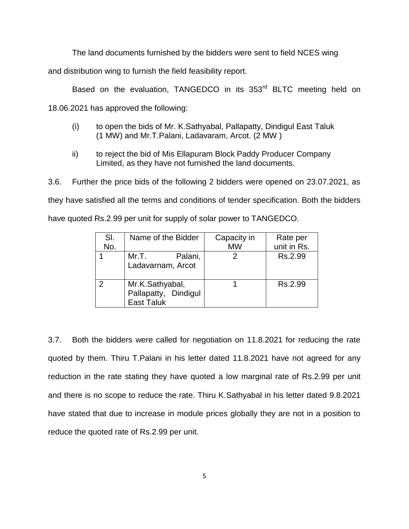The land documents furnished by the bidders were sent to field NCES wing

and distribution wing to furnish the field feasibility report.

Based on the evaluation, TANGEDCO in its 353<sup>rd</sup> BLTC meeting held on

18.06.2021 has approved the following:

- (i) to open the bids of Mr. K.Sathyabal, Pallapatty, Dindigul East Taluk (1 MW) and Mr.T.Palani, Ladavaram, Arcot. (2 MW )
- ii) to reject the bid of Mis Ellapuram Block Paddy Producer Company Limited, as they have not furnished the land documents.

3.6. Further the price bids of the following 2 bidders were opened on 23.07.2021, as they have satisfied all the terms and conditions of tender specification. Both the bidders have quoted Rs.2.99 per unit for supply of solar power to TANGEDCO.

| SI.           | Name of the Bidder                                           | Capacity in | Rate per    |
|---------------|--------------------------------------------------------------|-------------|-------------|
| No.           |                                                              | <b>MW</b>   | unit in Rs. |
|               | Palani,<br>Mr.T.<br>Ladavarnam, Arcot                        |             | Rs.2.99     |
| $\mathcal{P}$ | Mr.K.Sathyabal,<br>Pallapatty, Dindigul<br><b>East Taluk</b> |             | Rs.2.99     |

3.7. Both the bidders were called for negotiation on 11.8.2021 for reducing the rate quoted by them. Thiru T.Palani in his letter dated 11.8.2021 have not agreed for any reduction in the rate stating they have quoted a low marginal rate of Rs.2.99 per unit and there is no scope to reduce the rate. Thiru K.Sathyabal in his letter dated 9.8.2021 have stated that due to increase in module prices globally they are not in a position to reduce the quoted rate of Rs.2.99 per unit.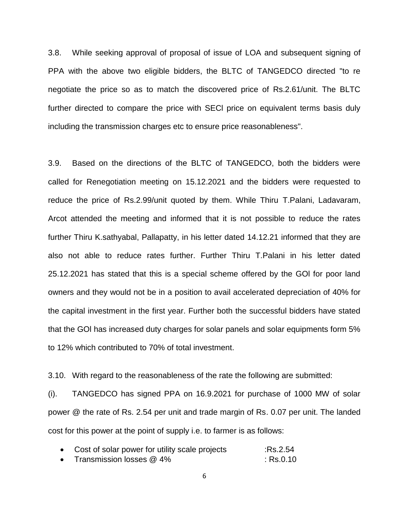3.8. While seeking approval of proposal of issue of LOA and subsequent signing of PPA with the above two eligible bidders, the BLTC of TANGEDCO directed "to re negotiate the price so as to match the discovered price of Rs.2.61/unit. The BLTC further directed to compare the price with SECl price on equivalent terms basis duly including the transmission charges etc to ensure price reasonableness".

3.9. Based on the directions of the BLTC of TANGEDCO, both the bidders were called for Renegotiation meeting on 15.12.2021 and the bidders were requested to reduce the price of Rs.2.99/unit quoted by them. While Thiru T.Palani, Ladavaram, Arcot attended the meeting and informed that it is not possible to reduce the rates further Thiru K.sathyabal, Pallapatty, in his letter dated 14.12.21 informed that they are also not able to reduce rates further. Further Thiru T.Palani in his letter dated 25.12.2021 has stated that this is a special scheme offered by the GOl for poor land owners and they would not be in a position to avail accelerated depreciation of 40% for the capital investment in the first year. Further both the successful bidders have stated that the GOl has increased duty charges for solar panels and solar equipments form 5% to 12% which contributed to 70% of total investment.

3.10. With regard to the reasonableness of the rate the following are submitted:

(i). TANGEDCO has signed PPA on 16.9.2021 for purchase of 1000 MW of solar power @ the rate of Rs. 2.54 per unit and trade margin of Rs. 0.07 per unit. The landed cost for this power at the point of supply i.e. to farmer is as follows:

| Cost of solar power for utility scale projects | :Rs.2.54 |
|------------------------------------------------|----------|
| Transmission losses @ 4%                       | :Rs.0.10 |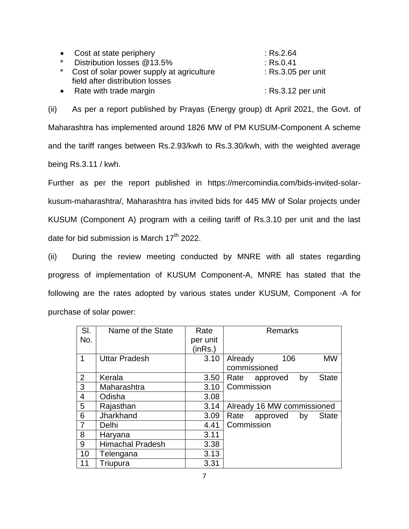| • Cost at state periphery                   | : Rs.2.64            |
|---------------------------------------------|----------------------|
| * Distribution losses @13.5%                | $:$ Rs.0.41          |
| * Cost of solar power supply at agriculture | : Rs.3.05 per unit   |
| field after distribution losses             |                      |
| • Rate with trade margin                    | $:$ Rs.3.12 per unit |

(ii) As per a report published by Prayas (Energy group) dt April 2021, the Govt. of Maharashtra has implemented around 1826 MW of PM KUSUM-Component A scheme and the tariff ranges between Rs.2.93/kwh to Rs.3.30/kwh, with the weighted average being Rs.3.11 / kwh.

Further as per the report published in https://mercomindia.com/bids-invited-solarkusum-maharashtra/, Maharashtra has invited bids for 445 MW of Solar projects under KUSUM (Component A) program with a ceiling tariff of Rs.3.10 per unit and the last date for bid submission is March  $17<sup>th</sup>$  2022.

(ii) During the review meeting conducted by MNRE with all states regarding progress of implementation of KUSUM Component-A, MNRE has stated that the following are the rates adopted by various states under KUSUM, Component -A for purchase of solar power:

| SI.            | Name of the State       | Rate     | <b>Remarks</b>                         |
|----------------|-------------------------|----------|----------------------------------------|
| No.            |                         | per unit |                                        |
|                |                         | (inRs.)  |                                        |
| 1              | <b>Uttar Pradesh</b>    | 3.10     | 106<br>MW<br>Already                   |
|                |                         |          | commissioned                           |
| 2              | Kerala                  | 3.50     | <b>State</b><br>by<br>Rate<br>approved |
| 3              | Maharashtra             | 3.10     | Commission                             |
| $\overline{4}$ | Odisha                  | 3.08     |                                        |
| 5              | Rajasthan               | 3.14     | Already 16 MW commissioned             |
| 6              | Jharkhand               | 3.09     | <b>State</b><br>Rate<br>approved<br>by |
| $\overline{7}$ | Delhi                   | 4.41     | Commission                             |
| 8              | Haryana                 | 3.11     |                                        |
| 9              | <b>Himachal Pradesh</b> | 3.38     |                                        |
| 10             | Telengana               | 3.13     |                                        |
| 11             | Triupura                | 3.31     |                                        |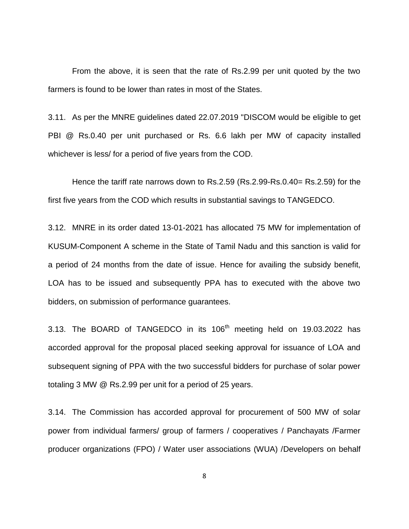From the above, it is seen that the rate of Rs.2.99 per unit quoted by the two farmers is found to be lower than rates in most of the States.

3.11. As per the MNRE guidelines dated 22.07.2019 "DISCOM would be eligible to get PBI @ Rs.0.40 per unit purchased or Rs. 6.6 lakh per MW of capacity installed whichever is less/ for a period of five years from the COD.

Hence the tariff rate narrows down to Rs.2.59 (Rs.2.99-Rs.0.40= Rs.2.59) for the first five years from the COD which results in substantial savings to TANGEDCO.

3.12. MNRE in its order dated 13-01-2021 has allocated 75 MW for implementation of KUSUM-Component A scheme in the State of Tamil Nadu and this sanction is valid for a period of 24 months from the date of issue. Hence for availing the subsidy benefit, LOA has to be issued and subsequently PPA has to executed with the above two bidders, on submission of performance guarantees.

3.13. The BOARD of TANGEDCO in its  $106<sup>th</sup>$  meeting held on 19.03.2022 has accorded approval for the proposal placed seeking approval for issuance of LOA and subsequent signing of PPA with the two successful bidders for purchase of solar power totaling 3 MW @ Rs.2.99 per unit for a period of 25 years.

3.14. The Commission has accorded approval for procurement of 500 MW of solar power from individual farmers/ group of farmers / cooperatives / Panchayats /Farmer producer organizations (FPO) / Water user associations (WUA) /Developers on behalf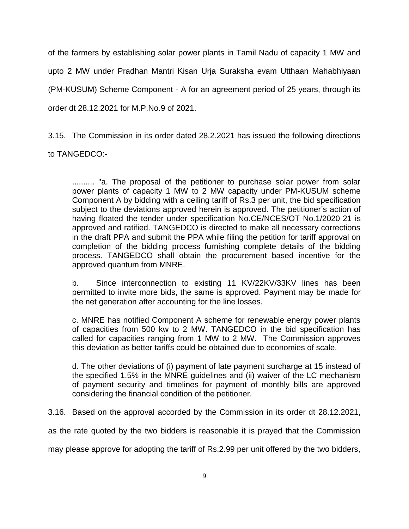of the farmers by establishing solar power plants in Tamil Nadu of capacity 1 MW and upto 2 MW under Pradhan Mantri Kisan Urja Suraksha evam Utthaan Mahabhiyaan (PM-KUSUM) Scheme Component - A for an agreement period of 25 years, through its order dt 28.12.2021 for M.P.No.9 of 2021.

3.15. The Commission in its order dated 28.2.2021 has issued the following directions to TANGEDCO:-

.......... "a. The proposal of the petitioner to purchase solar power from solar power plants of capacity 1 MW to 2 MW capacity under PM-KUSUM scheme Component A by bidding with a ceiling tariff of Rs.3 per unit, the bid specification subject to the deviations approved herein is approved. The petitioner's action of having floated the tender under specification No.CE/NCES/OT No.1/2020-21 is approved and ratified. TANGEDCO is directed to make all necessary corrections in the draft PPA and submit the PPA while filing the petition for tariff approval on completion of the bidding process furnishing complete details of the bidding process. TANGEDCO shall obtain the procurement based incentive for the approved quantum from MNRE.

b. Since interconnection to existing 11 KV/22KV/33KV lines has been permitted to invite more bids, the same is approved. Payment may be made for the net generation after accounting for the line losses.

c. MNRE has notified Component A scheme for renewable energy power plants of capacities from 500 kw to 2 MW. TANGEDCO in the bid specification has called for capacities ranging from 1 MW to 2 MW. The Commission approves this deviation as better tariffs could be obtained due to economies of scale.

d. The other deviations of (i) payment of late payment surcharge at 15 instead of the specified 1.5% in the MNRE guidelines and (ii) waiver of the LC mechanism of payment security and timelines for payment of monthly bills are approved considering the financial condition of the petitioner.

3.16. Based on the approval accorded by the Commission in its order dt 28.12.2021,

as the rate quoted by the two bidders is reasonable it is prayed that the Commission

may please approve for adopting the tariff of Rs.2.99 per unit offered by the two bidders,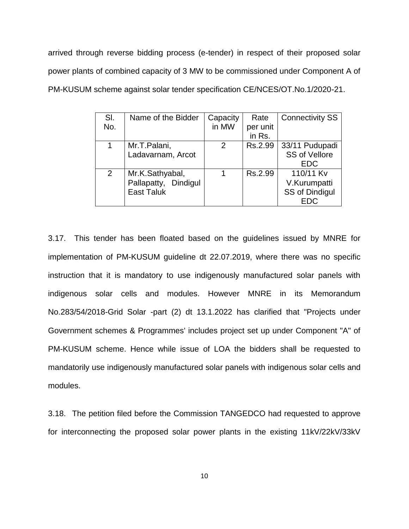arrived through reverse bidding process (e-tender) in respect of their proposed solar power plants of combined capacity of 3 MW to be commissioned under Component A of PM-KUSUM scheme against solar tender specification CE/NCES/OT.No.1/2020-21.

| SI.<br>No. | Name of the Bidder                                           | Capacity<br>in MW | Rate<br>per unit | <b>Connectivity SS</b>                                    |
|------------|--------------------------------------------------------------|-------------------|------------------|-----------------------------------------------------------|
|            |                                                              |                   | in Rs.           |                                                           |
|            | Mr.T.Palani,<br>Ladavarnam, Arcot                            | $\mathcal{P}$     | Rs.2.99          | 33/11 Pudupadi<br><b>SS of Vellore</b><br><b>EDC</b>      |
| 2          | Mr.K.Sathyabal,<br>Pallapatty, Dindigul<br><b>East Taluk</b> |                   | Rs.2.99          | 110/11 Kv<br>V.Kurumpatti<br>SS of Dindigul<br><b>EDC</b> |

3.17. This tender has been floated based on the guidelines issued by MNRE for implementation of PM-KUSUM guideline dt 22.07.2019, where there was no specific instruction that it is mandatory to use indigenously manufactured solar panels with indigenous solar cells and modules. However MNRE in its Memorandum No.283/54/2018-Grid Solar -part (2) dt 13.1.2022 has clarified that "Projects under Government schemes & Programmes' includes project set up under Component "A" of PM-KUSUM scheme. Hence while issue of LOA the bidders shall be requested to mandatorily use indigenously manufactured solar panels with indigenous solar cells and modules.

3.18. The petition filed before the Commission TANGEDCO had requested to approve for interconnecting the proposed solar power plants in the existing 11kV/22kV/33kV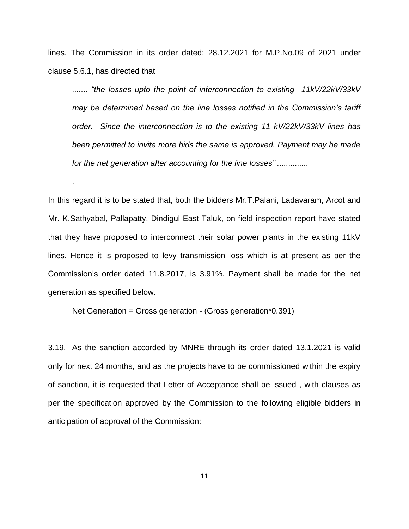lines. The Commission in its order dated: 28.12.2021 for M.P.No.09 of 2021 under clause 5.6.1, has directed that

*....... "the losses upto the point of interconnection to existing 11kV/22kV/33kV may be determined based on the line losses notified in the Commission's tariff order. Since the interconnection is to the existing 11 kV/22kV/33kV lines has been permitted to invite more bids the same is approved. Payment may be made for the net generation after accounting for the line losses" ..............*

In this regard it is to be stated that, both the bidders Mr.T.Palani, Ladavaram, Arcot and Mr. K.Sathyabal, Pallapatty, Dindigul East Taluk, on field inspection report have stated that they have proposed to interconnect their solar power plants in the existing 11kV lines. Hence it is proposed to levy transmission loss which is at present as per the Commission's order dated 11.8.2017, is 3.91%. Payment shall be made for the net generation as specified below.

Net Generation = Gross generation - (Gross generation\*0.391)

.

3.19. As the sanction accorded by MNRE through its order dated 13.1.2021 is valid only for next 24 months, and as the projects have to be commissioned within the expiry of sanction, it is requested that Letter of Acceptance shall be issued , with clauses as per the specification approved by the Commission to the following eligible bidders in anticipation of approval of the Commission: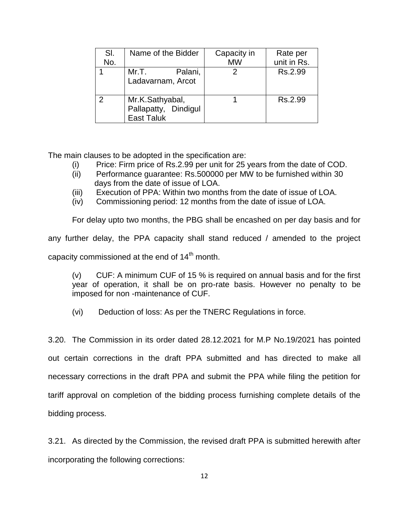| SI. | Name of the Bidder                                           | Capacity in | Rate per    |
|-----|--------------------------------------------------------------|-------------|-------------|
| No. |                                                              | <b>MW</b>   | unit in Rs. |
|     | Mr.T.<br>Palani,<br>Ladavarnam, Arcot                        |             | Rs.2.99     |
|     | Mr.K.Sathyabal,<br>Pallapatty, Dindigul<br><b>East Taluk</b> |             | Rs.2.99     |

The main clauses to be adopted in the specification are:

- (i) Price: Firm price of Rs.2.99 per unit for 25 years from the date of COD.
- (ii) Performance guarantee: Rs.500000 per MW to be furnished within 30 days from the date of issue of LOA.
- (iii) Execution of PPA: Within two months from the date of issue of LOA.
- (iv) Commissioning period: 12 months from the date of issue of LOA.

For delay upto two months, the PBG shall be encashed on per day basis and for any further delay, the PPA capacity shall stand reduced / amended to the project capacity commissioned at the end of  $14<sup>th</sup>$  month.

(v) CUF: A minimum CUF of 15 % is required on annual basis and for the first year of operation, it shall be on pro-rate basis. However no penalty to be imposed for non -maintenance of CUF.

(vi) Deduction of loss: As per the TNERC Regulations in force.

3.20. The Commission in its order dated 28.12.2021 for M.P No.19/2021 has pointed out certain corrections in the draft PPA submitted and has directed to make all necessary corrections in the draft PPA and submit the PPA while filing the petition for tariff approval on completion of the bidding process furnishing complete details of the bidding process.

3.21. As directed by the Commission, the revised draft PPA is submitted herewith after incorporating the following corrections: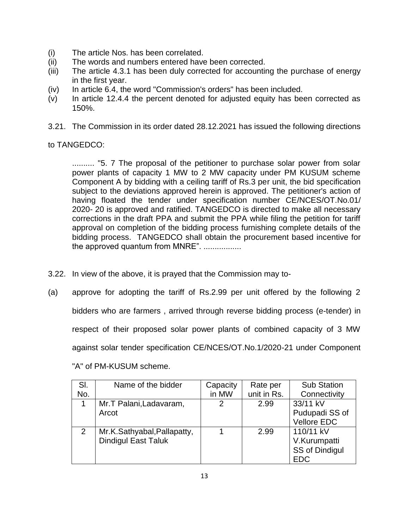- (i) The article Nos. has been correlated.
- (ii) The words and numbers entered have been corrected.
- (iii) The article 4.3.1 has been duly corrected for accounting the purchase of energy in the first year.
- (iv) In article 6.4, the word "Commission's orders" has been included.
- (v) In article 12.4.4 the percent denoted for adjusted equity has been corrected as 150%.
- 3.21. The Commission in its order dated 28.12.2021 has issued the following directions

# to TANGEDCO:

.......... "5. 7 The proposal of the petitioner to purchase solar power from solar power plants of capacity 1 MW to 2 MW capacity under PM KUSUM scheme Component A by bidding with a ceiling tariff of Rs.3 per unit, the bid specification subject to the deviations approved herein is approved. The petitioner's action of having floated the tender under specification number CE/NCES/OT.No.01/ 2020- 20 is approved and ratified. TANGEDCO is directed to make all necessary corrections in the draft PPA and submit the PPA while filing the petition for tariff approval on completion of the bidding process furnishing complete details of the bidding process. TANGEDCO shall obtain the procurement based incentive for the approved quantum from MNRE". .................

- 3.22. In view of the above, it is prayed that the Commission may to-
- (a) approve for adopting the tariff of Rs.2.99 per unit offered by the following 2 bidders who are farmers , arrived through reverse bidding process (e-tender) in respect of their proposed solar power plants of combined capacity of 3 MW against solar tender specification CE/NCES/OT.No.1/2020-21 under Component

| SI.            | Name of the bidder          | Capacity | Rate per    | <b>Sub Station</b> |
|----------------|-----------------------------|----------|-------------|--------------------|
| No.            |                             | in MW    | unit in Rs. | Connectivity       |
| 1              | Mr.T Palani, Ladavaram,     | 2        | 2.99        | 33/11 kV           |
|                | Arcot                       |          |             | Pudupadi SS of     |
|                |                             |          |             | <b>Vellore EDC</b> |
| $\overline{2}$ | Mr.K.Sathyabal, Pallapatty, |          | 2.99        | 110/11 kV          |
|                | <b>Dindigul East Taluk</b>  |          |             | V.Kurumpatti       |
|                |                             |          |             | SS of Dindigul     |
|                |                             |          |             | <b>EDC</b>         |

"A" of PM-KUSUM scheme.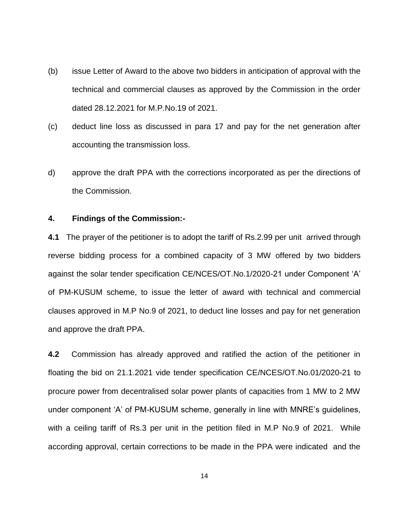- (b) issue Letter of Award to the above two bidders in anticipation of approval with the technical and commercial clauses as approved by the Commission in the order dated 28.12.2021 for M.P.No.19 of 2021.
- (c) deduct line loss as discussed in para 17 and pay for the net generation after accounting the transmission loss.
- d) approve the draft PPA with the corrections incorporated as per the directions of the Commission.

### **4. Findings of the Commission:-**

**4.1** The prayer of the petitioner is to adopt the tariff of Rs.2.99 per unit arrived through reverse bidding process for a combined capacity of 3 MW offered by two bidders against the solar tender specification CE/NCES/OT.No.1/2020-21 under Component 'A' of PM-KUSUM scheme, to issue the letter of award with technical and commercial clauses approved in M.P No.9 of 2021, to deduct line losses and pay for net generation and approve the draft PPA.

**4.2** Commission has already approved and ratified the action of the petitioner in floating the bid on 21.1.2021 vide tender specification CE/NCES/OT.No.01/2020-21 to procure power from decentralised solar power plants of capacities from 1 MW to 2 MW under component 'A' of PM-KUSUM scheme, generally in line with MNRE's guidelines, with a ceiling tariff of Rs.3 per unit in the petition filed in M.P No.9 of 2021. While according approval, certain corrections to be made in the PPA were indicated and the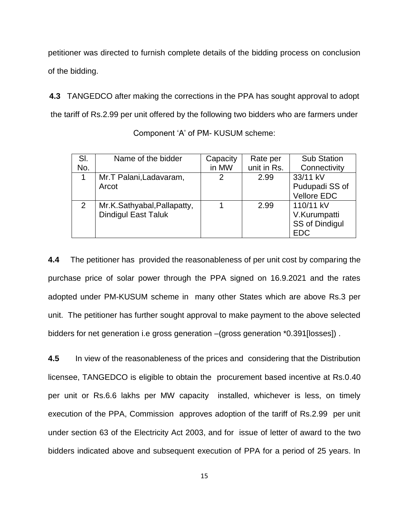petitioner was directed to furnish complete details of the bidding process on conclusion of the bidding.

**4.3** TANGEDCO after making the corrections in the PPA has sought approval to adopt the tariff of Rs.2.99 per unit offered by the following two bidders who are farmers under

| SI. | Name of the bidder          | Capacity | Rate per    | <b>Sub Station</b> |
|-----|-----------------------------|----------|-------------|--------------------|
| No. |                             | in MW    | unit in Rs. | Connectivity       |
| 1   | Mr.T Palani, Ladavaram,     | 2        | 2.99        | 33/11 kV           |
|     | Arcot                       |          |             | Pudupadi SS of     |
|     |                             |          |             | <b>Vellore EDC</b> |
| 2   | Mr.K.Sathyabal, Pallapatty, |          | 2.99        | 110/11 kV          |
|     | <b>Dindigul East Taluk</b>  |          |             | V.Kurumpatti       |
|     |                             |          |             | SS of Dindigul     |
|     |                             |          |             | <b>EDC</b>         |

Component 'A' of PM- KUSUM scheme:

**4.4** The petitioner has provided the reasonableness of per unit cost by comparing the purchase price of solar power through the PPA signed on 16.9.2021 and the rates adopted under PM-KUSUM scheme in many other States which are above Rs.3 per unit. The petitioner has further sought approval to make payment to the above selected bidders for net generation i.e gross generation –(gross generation \*0.391[losses]) .

**4.5** In view of the reasonableness of the prices and considering that the Distribution licensee, TANGEDCO is eligible to obtain the procurement based incentive at Rs.0.40 per unit or Rs.6.6 lakhs per MW capacity installed, whichever is less, on timely execution of the PPA, Commission approves adoption of the tariff of Rs.2.99 per unit under section 63 of the Electricity Act 2003, and for issue of letter of award to the two bidders indicated above and subsequent execution of PPA for a period of 25 years. In